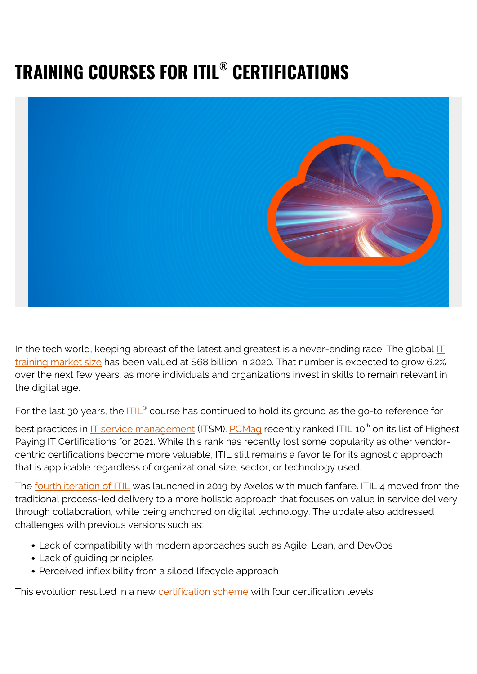# **TRAINING COURSES FOR ITIL® CERTIFICATIONS**



In the tech world, keeping abreast of the latest and greatest is a never-ending race. The global  $\mathbf{I}$ [training market size](https://www.expertmarketresearch.com/reports/it-training-market) has been valued at \$68 billion in 2020. That number is expected to grow 6.2% over the next few years, as more individuals and organizations invest in skills to remain relevant in the digital age.

For the last 30 years, the **[ITIL](https://www.axelos.com/certifications/itil-certifications)<sup>®</sup> course has continued to hold its ground as the go-to reference for** 

best practices in <u>IT service management</u> (ITSM). [PCMag](https://www.pcmag.com/news/highest-paying-it-certifications) recently ranked ITIL 10<sup>th</sup> on its list of Highest Paying IT Certifications for 2021. While this rank has recently lost some popularity as other vendorcentric certifications become more valuable, ITIL still remains a favorite for its agnostic approach that is applicable regardless of organizational size, sector, or technology used.

The [fourth iteration of ITIL](https://blogs.bmc.com/blogs/itil-4/) was launched in 2019 by Axelos with much fanfare. ITIL 4 moved from the traditional process-led delivery to a more holistic approach that focuses on value in service delivery through collaboration, while being anchored on digital technology. The update also addressed challenges with previous versions such as:

- Lack of compatibility with modern approaches such as Agile, Lean, and DevOps
- Lack of guiding principles
- Perceived inflexibility from a siloed lifecycle approach

This evolution resulted in a new [certification scheme](https://www.axelos.com/certifications/itil-certifications) with four certification levels: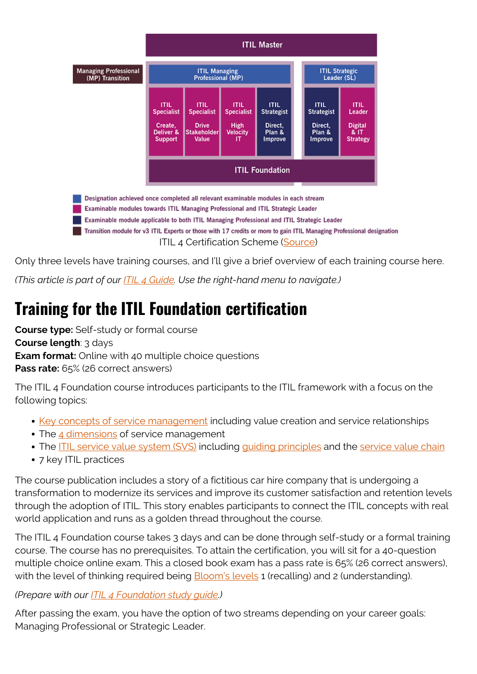

Only three levels have training courses, and I'll give a brief overview of each training course here.

*(This article is part of our [ITIL 4 Guide](https://blogs.bmc.com/blogs/itil-4/). Use the right-hand menu to navigate.)*

# **Training for the ITIL Foundation certification**

**Course type:** Self-study or formal course

**Course length**: 3 days

**Exam format:** Online with 40 multiple choice questions

**Pass rate:** 65% (26 correct answers)

The ITIL 4 Foundation course introduces participants to the ITIL framework with a focus on the following topics:

- [Key concepts of service management](https://blogs.bmc.com/blogs/itil-key-concepts-service-management/) including value creation and service relationships
- The [4 dimensions](https://blogs.bmc.com/blogs/itil-four-dimensions-service-management/) of service management
- The [ITIL service value system \(SVS\)](https://blogs.bmc.com/blogs/itil-service-value-system/) including quiding principles and the [service value chain](https://blogs.bmc.com/blogs/itil-service-value-chain/)
- 7 key ITIL practices

The course publication includes a story of a fictitious car hire company that is undergoing a transformation to modernize its services and improve its customer satisfaction and retention levels through the adoption of ITIL. This story enables participants to connect the ITIL concepts with real world application and runs as a golden thread throughout the course.

The ITIL 4 Foundation course takes 3 days and can be done through self-study or a formal training course. The course has no prerequisites. To attain the certification, you will sit for a 40-question multiple choice online exam. This a closed book exam has a pass rate is 65% (26 correct answers), with the level of thinking required being **Bloom's levels 1** (recalling) and 2 (understanding).

#### *(Prepare with our [ITIL 4 Foundation study guide](https://blogs.bmc.com/blogs/itil-foundation-study-guide/).)*

After passing the exam, you have the option of two streams depending on your career goals: Managing Professional or Strategic Leader.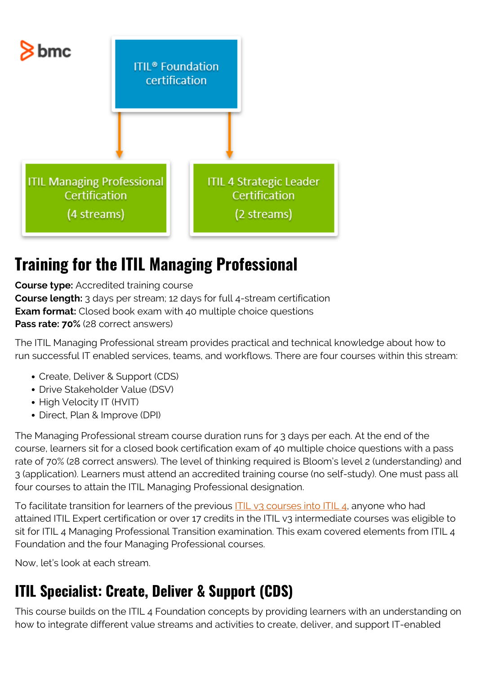

## **Training for the ITIL Managing Professional**

**Course type:** Accredited training course **Course length:** 3 days per stream; 12 days for full 4-stream certification **Exam format:** Closed book exam with 40 multiple choice questions **Pass rate: 70%** (28 correct answers)

The ITIL Managing Professional stream provides practical and technical knowledge about how to run successful IT enabled services, teams, and workflows. There are four courses within this stream:

- Create, Deliver & Support (CDS)
- Drive Stakeholder Value (DSV)
- High Velocity IT (HVIT)
- Direct, Plan & Improve (DPI)

The Managing Professional stream course duration runs for 3 days per each. At the end of the course, learners sit for a closed book certification exam of 40 multiple choice questions with a pass rate of 70% (28 correct answers). The level of thinking required is Bloom's level 2 (understanding) and 3 (application). Learners must attend an accredited training course (no self-study). One must pass all four courses to attain the ITIL Managing Professional designation.

To facilitate transition for learners of the previous [ITIL v3 courses into ITIL 4](https://blogs.bmc.com/blogs/itil-4-vs-itil-v3/), anyone who had attained ITIL Expert certification or over 17 credits in the ITIL v3 intermediate courses was eligible to sit for ITIL 4 Managing Professional Transition examination. This exam covered elements from ITIL 4 Foundation and the four Managing Professional courses.

Now, let's look at each stream.

## **ITIL Specialist: Create, Deliver & Support (CDS)**

This course builds on the ITIL 4 Foundation concepts by providing learners with an understanding on how to integrate different value streams and activities to create, deliver, and support IT-enabled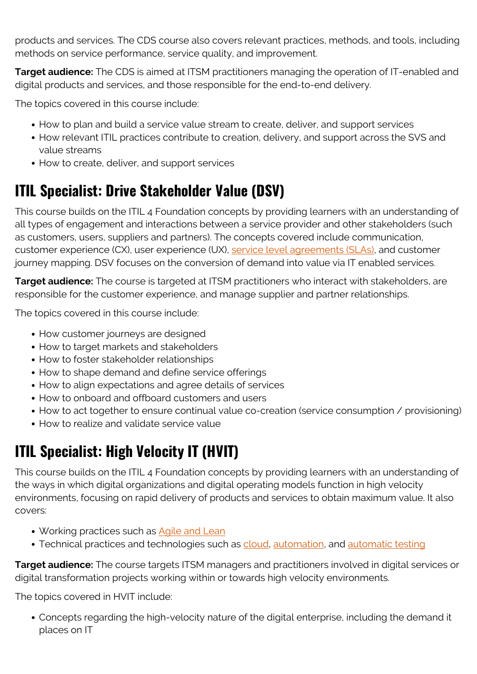products and services. The CDS course also covers relevant practices, methods, and tools, including methods on service performance, service quality, and improvement.

**Target audience:** The CDS is aimed at ITSM practitioners managing the operation of IT-enabled and digital products and services, and those responsible for the end-to-end delivery.

The topics covered in this course include:

- How to plan and build a service value stream to create, deliver, and support services
- How relevant ITIL practices contribute to creation, delivery, and support across the SVS and value streams
- How to create, deliver, and support services

## **ITIL Specialist: Drive Stakeholder Value (DSV)**

This course builds on the ITIL 4 Foundation concepts by providing learners with an understanding of all types of engagement and interactions between a service provider and other stakeholders (such as customers, users, suppliers and partners). The concepts covered include communication, customer experience (CX), user experience (UX), [service level agreements \(SLAs\),](https://blogs.bmc.com/blogs/sla-template-examples/) and customer journey mapping. DSV focuses on the conversion of demand into value via IT enabled services.

**Target audience:** The course is targeted at ITSM practitioners who interact with stakeholders, are responsible for the customer experience, and manage supplier and partner relationships.

The topics covered in this course include:

- How customer journeys are designed
- How to target markets and stakeholders
- How to foster stakeholder relationships
- How to shape demand and define service offerings
- How to align expectations and agree details of services
- How to onboard and offboard customers and users
- How to act together to ensure continual value co-creation (service consumption / provisioning)
- How to realize and validate service value

## **ITIL Specialist: High Velocity IT (HVIT)**

This course builds on the ITIL 4 Foundation concepts by providing learners with an understanding of the ways in which digital organizations and digital operating models function in high velocity environments, focusing on rapid delivery of products and services to obtain maximum value. It also covers:

- Working practices such as [Agile and Lean](https://blogs.bmc.com/blogs/design-thinking-vs-lean-vs-agile/)
- Technical practices and technologies such as [cloud,](https://blogs.bmc.com/blogs/saas-vs-paas-vs-iaas-whats-the-difference-and-how-to-choose/) [automation](https://blogs.bmc.com/blogs/it-automation/), and [automatic testing](https://blogs.bmc.com/blogs/testing-automation/)

**Target audience:** The course targets ITSM managers and practitioners involved in digital services or digital transformation projects working within or towards high velocity environments.

The topics covered in HVIT include:

Concepts regarding the high-velocity nature of the digital enterprise, including the demand it places on IT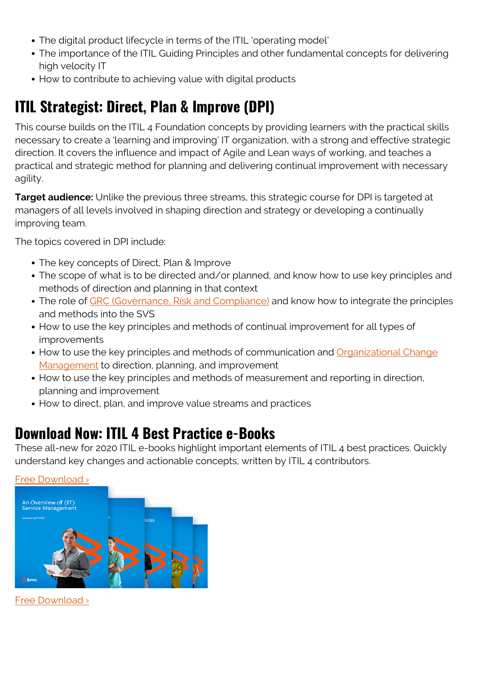- The digital product lifecycle in terms of the ITIL 'operating model'
- The importance of the ITIL Guiding Principles and other fundamental concepts for delivering high velocity IT
- How to contribute to achieving value with digital products

### **ITIL Strategist: Direct, Plan & Improve (DPI)**

This course builds on the ITIL 4 Foundation concepts by providing learners with the practical skills necessary to create a 'learning and improving' IT organization, with a strong and effective strategic direction. It covers the influence and impact of Agile and Lean ways of working, and teaches a practical and strategic method for planning and delivering continual improvement with necessary agility.

**Target audience:** Unlike the previous three streams, this strategic course for DPI is targeted at managers of all levels involved in shaping direction and strategy or developing a continually improving team.

The topics covered in DPI include:

- The key concepts of Direct, Plan & Improve
- The scope of what is to be directed and/or planned, and know how to use key principles and methods of direction and planning in that context
- The role of [GRC \(Governance, Risk and Compliance\)](https://blogs.bmc.com/blogs/grc-governance-risk-compliance/) and know how to integrate the principles and methods into the SVS
- How to use the key principles and methods of continual improvement for all types of improvements
- How to use the key principles and methods of communication and [Organizational Change](https://blogs.bmc.com/blogs/organizational-change-management/) [Management](https://blogs.bmc.com/blogs/organizational-change-management/) to direction, planning, and improvement
- How to use the key principles and methods of measurement and reporting in direction, planning and improvement
- How to direct, plan, and improve value streams and practices

### **Download Now: ITIL 4 Best Practice e-Books**

These all-new for 2020 ITIL e-books highlight important elements of ITIL 4 best practices. Quickly understand key changes and actionable concepts, written by ITIL 4 contributors.



[Free Download ›](https://www.bmc.com/forms/itil-free-ebook.html)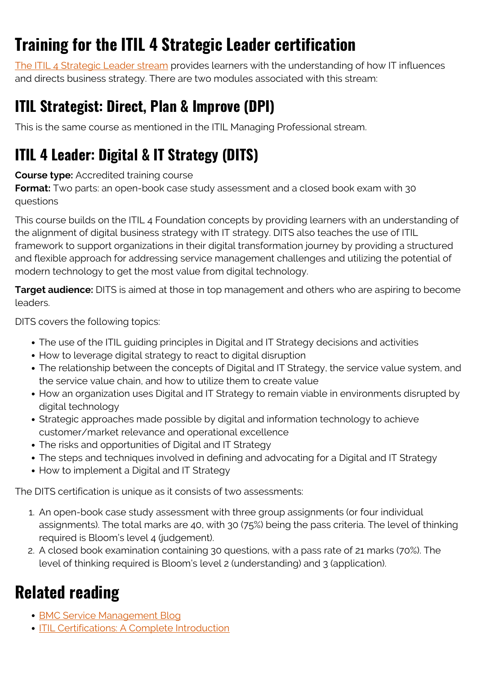# **Training for the ITIL 4 Strategic Leader certification**

[The ITIL 4 Strategic Leader stream](https://blogs.bmc.com/blogs/itil-strategic-leader-certification/) provides learners with the understanding of how IT influences and directs business strategy. There are two modules associated with this stream:

## **ITIL Strategist: Direct, Plan & Improve (DPI)**

This is the same course as mentioned in the ITIL Managing Professional stream.

## **ITIL 4 Leader: Digital & IT Strategy (DITS)**

#### **Course type:** Accredited training course

**Format:** Two parts: an open-book case study assessment and a closed book exam with 30 questions

This course builds on the ITIL 4 Foundation concepts by providing learners with an understanding of the alignment of digital business strategy with IT strategy. DITS also teaches the use of ITIL framework to support organizations in their digital transformation journey by providing a structured and flexible approach for addressing service management challenges and utilizing the potential of modern technology to get the most value from digital technology.

**Target audience:** DITS is aimed at those in top management and others who are aspiring to become leaders.

DITS covers the following topics:

- The use of the ITIL guiding principles in Digital and IT Strategy decisions and activities
- How to leverage digital strategy to react to digital disruption
- The relationship between the concepts of Digital and IT Strategy, the service value system, and the service value chain, and how to utilize them to create value
- How an organization uses Digital and IT Strategy to remain viable in environments disrupted by digital technology
- Strategic approaches made possible by digital and information technology to achieve customer/market relevance and operational excellence
- The risks and opportunities of Digital and IT Strategy
- The steps and techniques involved in defining and advocating for a Digital and IT Strategy
- How to implement a Digital and IT Strategy

The DITS certification is unique as it consists of two assessments:

- 1. An open-book case study assessment with three group assignments (or four individual assignments). The total marks are 40, with 30 (75%) being the pass criteria. The level of thinking required is Bloom's level 4 (judgement).
- 2. A closed book examination containing 30 questions, with a pass rate of 21 marks (70%). The level of thinking required is Bloom's level 2 (understanding) and 3 (application).

## **Related reading**

- **[BMC Service Management Blog](https://blogs.bmc.com/blogs/categories/itsm/)**
- [ITIL Certifications: A Complete Introduction](https://blogs.bmc.com/blogs/itil-certifications/)